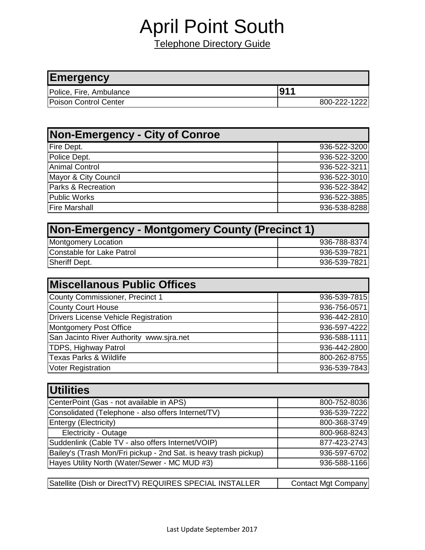## April Point South

Telephone Directory Guide

| <b>Emergency</b>        |              |
|-------------------------|--------------|
| Police, Fire, Ambulance | 1911         |
| Poison Control Center   | 800-222-1222 |

| <b>Non-Emergency - City of Conroe</b> |              |
|---------------------------------------|--------------|
| Fire Dept.                            | 936-522-3200 |
| Police Dept.                          | 936-522-3200 |
| Animal Control                        | 936-522-3211 |
| Mayor & City Council                  | 936-522-3010 |
| Parks & Recreation                    | 936-522-3842 |
| Public Works                          | 936-522-3885 |
| <b>Fire Marshall</b>                  | 936-538-8288 |

| <b>Non-Emergency - Montgomery County (Precinct 1)</b> |              |  |
|-------------------------------------------------------|--------------|--|
| <b>Montgomery Location</b>                            | 936-788-8374 |  |
| Constable for Lake Patrol                             | 936-539-7821 |  |
| Sheriff Dept.                                         | 936-539-7821 |  |

| <b>IMiscellanous Public Offices</b>         |              |
|---------------------------------------------|--------------|
| County Commissioner, Precinct 1             | 936-539-7815 |
| <b>County Court House</b>                   | 936-756-0571 |
| <b>Drivers License Vehicle Registration</b> | 936-442-2810 |
| <b>Montgomery Post Office</b>               | 936-597-4222 |
| San Jacinto River Authority www.sira.net    | 936-588-1111 |
| <b>TDPS, Highway Patrol</b>                 | 936-442-2800 |
| <b>Texas Parks &amp; Wildlife</b>           | 800-262-8755 |
| <b>Voter Registration</b>                   | 936-539-7843 |

| <b>Utilities</b>                                                 |              |
|------------------------------------------------------------------|--------------|
| CenterPoint (Gas - not available in APS)                         | 800-752-8036 |
| Consolidated (Telephone - also offers Internet/TV)               | 936-539-7222 |
| Entergy (Electricity)                                            | 800-368-3749 |
| <b>Electricity - Outage</b>                                      | 800-968-8243 |
| Suddenlink (Cable TV - also offers Internet/VOIP)                | 877-423-2743 |
| Bailey's (Trash Mon/Fri pickup - 2nd Sat. is heavy trash pickup) | 936-597-6702 |
| Hayes Utility North (Water/Sewer - MC MUD #3)                    | 936-588-1166 |
|                                                                  |              |

| Satellite (Dish or DirectTV) REQUIRES SPECIAL INSTALLER | Contact Mgt Company |
|---------------------------------------------------------|---------------------|
|---------------------------------------------------------|---------------------|